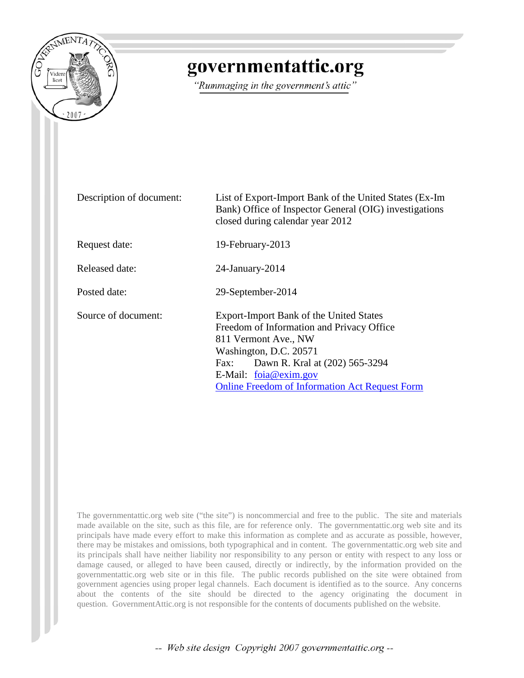

## governmentattic.org

"Rummaging in the government's attic"

| Description of document: | List of Export-Import Bank of the United States (Ex-Im<br>Bank) Office of Inspector General (OIG) investigations<br>closed during calendar year 2012                                                                                                               |
|--------------------------|--------------------------------------------------------------------------------------------------------------------------------------------------------------------------------------------------------------------------------------------------------------------|
| Request date:            | 19-February-2013                                                                                                                                                                                                                                                   |
| Released date:           | $24$ -January- $2014$                                                                                                                                                                                                                                              |
| Posted date:             | 29-September-2014                                                                                                                                                                                                                                                  |
| Source of document:      | Export-Import Bank of the United States<br>Freedom of Information and Privacy Office<br>811 Vermont Ave., NW<br>Washington, D.C. 20571<br>Dawn R. Kral at (202) 565-3294<br>Fax:<br>E-Mail: foia@exim.gov<br><b>Online Freedom of Information Act Request Form</b> |

The governmentattic.org web site ("the site") is noncommercial and free to the public. The site and materials made available on the site, such as this file, are for reference only. The governmentattic.org web site and its principals have made every effort to make this information as complete and as accurate as possible, however, there may be mistakes and omissions, both typographical and in content. The governmentattic.org web site and its principals shall have neither liability nor responsibility to any person or entity with respect to any loss or damage caused, or alleged to have been caused, directly or indirectly, by the information provided on the governmentattic.org web site or in this file. The public records published on the site were obtained from government agencies using proper legal channels. Each document is identified as to the source. Any concerns about the contents of the site should be directed to the agency originating the document in question. GovernmentAttic.org is not responsible for the contents of documents published on the website.

-- Web site design Copyright 2007 governmentattic.org --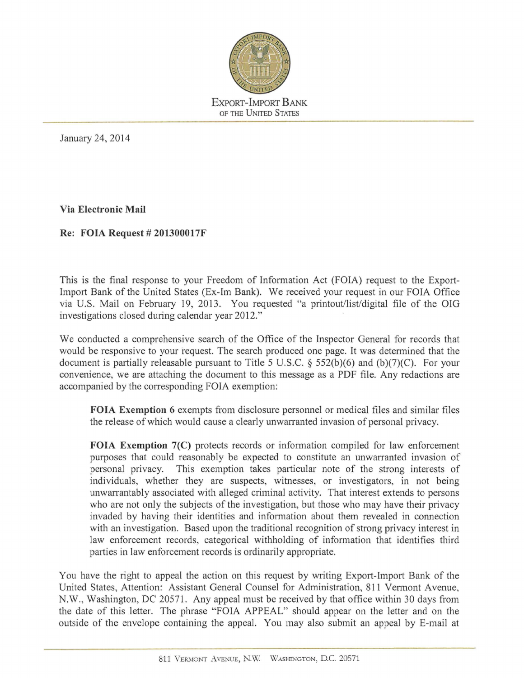

January 24, 2014

**Via Electronic Mail** 

**Re: FOIA Request# 201300017F** 

This is the final response to your Freedom of Information Act (FOIA) request to the Export-Import Bank of the United States (Ex-Im Bank). We received your request in our FOIA Office via U.S. Mail on February 19, 2013. You requested "a printout/list/digital file of the OIG investigations closed during calendar year 2012."

We conducted a comprehensive search of the Office of the Inspector General for records that would be responsive to your request. The search produced one page. It was determined that the document is partially releasable pursuant to Title 5 U.S.C. § 552(b)(6) and (b)(7)(C). For your convenience, we are attaching the document to this message as a PDF file. Any redactions are accompanied by the corresponding FOIA exemption:

**FOIA Exemption** 6 exempts from disclosure personnel or medical files and similar files the release of which would cause a clearly unwarranted invasion of personal privacy.

**FOIA Exemption 7(C)** protects records or information compiled for law enforcement purposes that could reasonably be expected to constitute an unwarranted invasion of personal privacy. This exemption takes particular note of the strong interests of individuals, whether they are suspects, witnesses, or investigators, in not being unwarrantably associated with alleged criminal activity. That interest extends to persons who are not only the subjects of the investigation, but those who may have their privacy invaded by having their identities and information about them revealed in connection with an investigation. Based upon the traditional recognition of strong privacy interest in law enforcement records, categorical withholding of infonnation that identifies third parties in law enforcement records is ordinarily appropriate.

You have the right to appeal the action on this request by writing Export-Import Bank of the United States, Attention: Assistant General Counsel for Administration, 811 Vennont Avenue, N.W., Washington, DC 20571. Any appeal must be received by that office within 30 days from the date of this letter. The phrase "FOIA APPEAL" should appear on the letter and on the outside of the envelope containing the appeal. You may also submit an appeal by E-mail at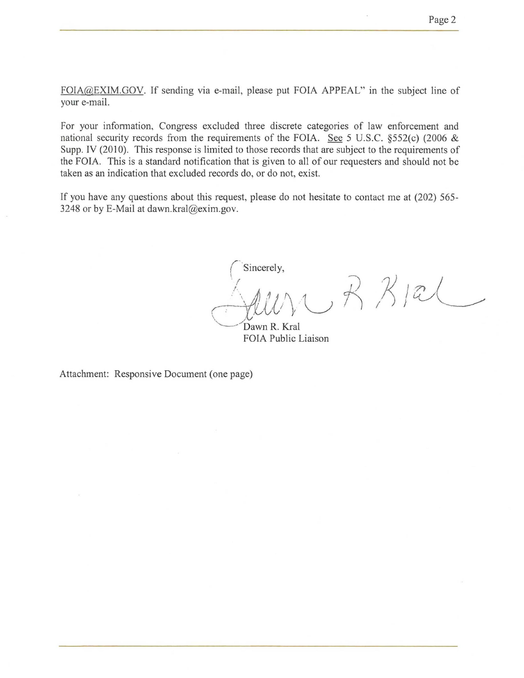FOIA@EXIM.GOV. If sending via e-mail, please put FOIA APPEAL" in the subject line of your e-mail.

For your information, Congress excluded three discrete categories of law enforcement and national security records from the requirements of the FOIA. See 5 U.S.C. §552(c) (2006 & Supp. IV (2010). This response is limited to those records that are subject to the requirements of the FOIA. This is a standard notification that is given to all of our requesters and should not be taken as an indication that excluded records do, or do not, exist.

If you have any questions about this request, please do not hesitate to contact me at (202) 565- 3248 or by E-Mail at dawn.kral@exim.gov.

Sincerely,  $\begin{array}{ccc} \text{(Sincerely,} \\ \text{(A 11) } & \text{(B 11) } \end{array}$  $\forall$  22/20

Dawn R. Kral FOIA Public Liaison

Attachment: Responsive Document (one page)